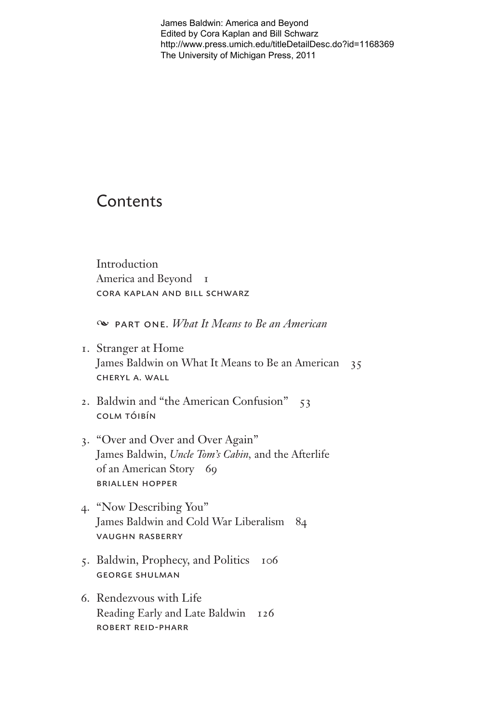James Baldwin: America and Beyond Edited by Cora Kaplan and Bill Schwarz http://www.press.umich.edu/titleDetailDesc.do?id=1168369 The University of Michigan Press, 2011

## Contents

Introduction America and Beyond I CORA KAPLAN AND BILL SCHWARZ

 $\infty$  PART ONE, *What It Means to Be an American* 

- 1. Stranger at Home James Baldwin on What It Means to Be an American 35 CHERYL A. WALL
- 2. Baldwin and "the American Confusion" 53 **COLM TÓIBÍN**
- 3. "Over and Over and Over Again" James Baldwin, Uncle Tom's Cabin, and the Afterlife of an American Story 69 **BRIALLEN HOPPER**
- 4. "Now Describing You" James Baldwin and Cold War Liberalism 84 **VAUGHN RASBERRY**
- 5. Baldwin, Prophecy, and Politics 106 **GEORGE SHULMAN**
- 6. Rendezvous with Life Reading Early and Late Baldwin 126 **ROBERT REID-PHARR**